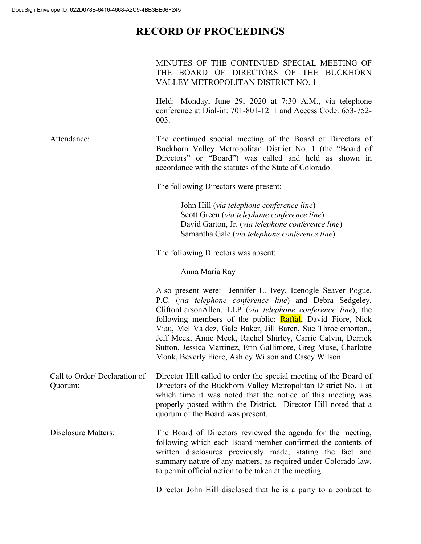## **RECORD OF PROCEEDINGS**

|                                         | MINUTES OF THE CONTINUED SPECIAL MEETING OF<br>THE BOARD OF DIRECTORS OF THE BUCKHORN<br>VALLEY METROPOLITAN DISTRICT NO. 1                                                                                                                                                                                                                                                                                                                                                                                      |
|-----------------------------------------|------------------------------------------------------------------------------------------------------------------------------------------------------------------------------------------------------------------------------------------------------------------------------------------------------------------------------------------------------------------------------------------------------------------------------------------------------------------------------------------------------------------|
|                                         | Held: Monday, June 29, 2020 at 7:30 A.M., via telephone<br>conference at Dial-in: 701-801-1211 and Access Code: 653-752-<br>003.                                                                                                                                                                                                                                                                                                                                                                                 |
| Attendance:                             | The continued special meeting of the Board of Directors of<br>Buckhorn Valley Metropolitan District No. 1 (the "Board of<br>Directors" or "Board") was called and held as shown in<br>accordance with the statutes of the State of Colorado.                                                                                                                                                                                                                                                                     |
|                                         | The following Directors were present:                                                                                                                                                                                                                                                                                                                                                                                                                                                                            |
|                                         | John Hill (via telephone conference line)<br>Scott Green (via telephone conference line)<br>David Garton, Jr. (via telephone conference line)<br>Samantha Gale (via telephone conference line)                                                                                                                                                                                                                                                                                                                   |
|                                         | The following Directors was absent:                                                                                                                                                                                                                                                                                                                                                                                                                                                                              |
|                                         | Anna Maria Ray                                                                                                                                                                                                                                                                                                                                                                                                                                                                                                   |
|                                         | Also present were: Jennifer L. Ivey, Icenogle Seaver Pogue,<br>P.C. (via telephone conference line) and Debra Sedgeley,<br>CliftonLarsonAllen, LLP (via telephone conference line); the<br>following members of the public: Raffal, David Fiore, Nick<br>Viau, Mel Valdez, Gale Baker, Jill Baren, Sue Throclemorton,,<br>Jeff Meek, Amie Meek, Rachel Shirley, Carrie Calvin, Derrick<br>Sutton, Jessica Martinez, Erin Gallimore, Greg Muse, Charlotte<br>Monk, Beverly Fiore, Ashley Wilson and Casey Wilson. |
| Call to Order/Declaration of<br>Quorum: | Director Hill called to order the special meeting of the Board of<br>Directors of the Buckhorn Valley Metropolitan District No. 1 at<br>which time it was noted that the notice of this meeting was<br>properly posted within the District. Director Hill noted that a<br>quorum of the Board was present.                                                                                                                                                                                                       |
| Disclosure Matters:                     | The Board of Directors reviewed the agenda for the meeting,<br>following which each Board member confirmed the contents of<br>written disclosures previously made, stating the fact and<br>summary nature of any matters, as required under Colorado law,<br>to permit official action to be taken at the meeting.                                                                                                                                                                                               |
|                                         | Director John Hill disclosed that he is a party to a contract to                                                                                                                                                                                                                                                                                                                                                                                                                                                 |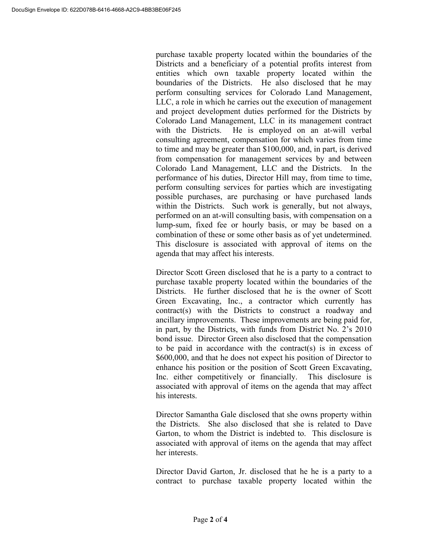purchase taxable property located within the boundaries of the Districts and a beneficiary of a potential profits interest from entities which own taxable property located within the boundaries of the Districts. He also disclosed that he may perform consulting services for Colorado Land Management, LLC, a role in which he carries out the execution of management and project development duties performed for the Districts by Colorado Land Management, LLC in its management contract with the Districts. He is employed on an at-will verbal consulting agreement, compensation for which varies from time to time and may be greater than \$100,000, and, in part, is derived from compensation for management services by and between Colorado Land Management, LLC and the Districts. In the performance of his duties, Director Hill may, from time to time, perform consulting services for parties which are investigating possible purchases, are purchasing or have purchased lands within the Districts. Such work is generally, but not always, performed on an at-will consulting basis, with compensation on a lump-sum, fixed fee or hourly basis, or may be based on a combination of these or some other basis as of yet undetermined. This disclosure is associated with approval of items on the agenda that may affect his interests.

Director Scott Green disclosed that he is a party to a contract to purchase taxable property located within the boundaries of the Districts. He further disclosed that he is the owner of Scott Green Excavating, Inc., a contractor which currently has contract(s) with the Districts to construct a roadway and ancillary improvements. These improvements are being paid for, in part, by the Districts, with funds from District No. 2's 2010 bond issue. Director Green also disclosed that the compensation to be paid in accordance with the contract(s) is in excess of \$600,000, and that he does not expect his position of Director to enhance his position or the position of Scott Green Excavating, Inc. either competitively or financially. This disclosure is associated with approval of items on the agenda that may affect his interests.

Director Samantha Gale disclosed that she owns property within the Districts. She also disclosed that she is related to Dave Garton, to whom the District is indebted to. This disclosure is associated with approval of items on the agenda that may affect her interests.

Director David Garton, Jr. disclosed that he he is a party to a contract to purchase taxable property located within the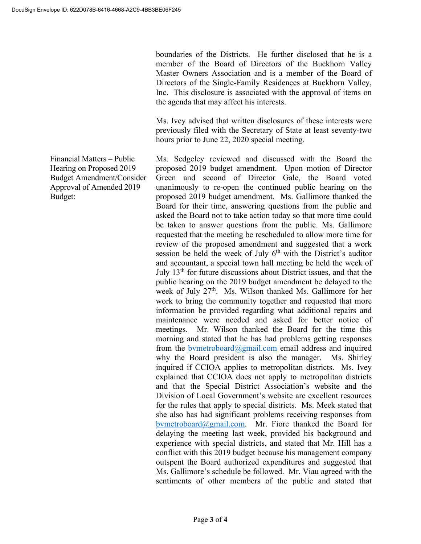boundaries of the Districts. He further disclosed that he is a member of the Board of Directors of the Buckhorn Valley Master Owners Association and is a member of the Board of Directors of the Single-Family Residences at Buckhorn Valley, Inc. This disclosure is associated with the approval of items on the agenda that may affect his interests.

Ms. Ivey advised that written disclosures of these interests were previously filed with the Secretary of State at least seventy-two hours prior to June 22, 2020 special meeting.

Ms. Sedgeley reviewed and discussed with the Board the proposed 2019 budget amendment. Upon motion of Director Green and second of Director Gale, the Board voted unanimously to re-open the continued public hearing on the proposed 2019 budget amendment. Ms. Gallimore thanked the Board for their time, answering questions from the public and asked the Board not to take action today so that more time could be taken to answer questions from the public. Ms. Gallimore requested that the meeting be rescheduled to allow more time for review of the proposed amendment and suggested that a work session be held the week of July  $6<sup>th</sup>$  with the District's auditor and accountant, a special town hall meeting be held the week of July 13th for future discussions about District issues, and that the public hearing on the 2019 budget amendment be delayed to the week of July 27<sup>th</sup>. Ms. Wilson thanked Ms. Gallimore for her work to bring the community together and requested that more information be provided regarding what additional repairs and maintenance were needed and asked for better notice of meetings. Mr. Wilson thanked the Board for the time this morning and stated that he has had problems getting responses from the bymetroboard $@g$ mail.com email address and inquired why the Board president is also the manager. Ms. Shirley inquired if CCIOA applies to metropolitan districts. Ms. Ivey explained that CCIOA does not apply to metropolitan districts and that the Special District Association's website and the Division of Local Government's website are excellent resources for the rules that apply to special districts. Ms. Meek stated that she also has had significant problems receiving responses from bymetroboard@gmail.com. Mr. Fiore thanked the Board for delaying the meeting last week, provided his background and experience with special districts, and stated that Mr. Hill has a conflict with this 2019 budget because his management company outspent the Board authorized expenditures and suggested that Ms. Gallimore's schedule be followed. Mr. Viau agreed with the sentiments of other members of the public and stated that

Financial Matters – Public Hearing on Proposed 2019 Budget Amendment/Consider Approval of Amended 2019 Budget: